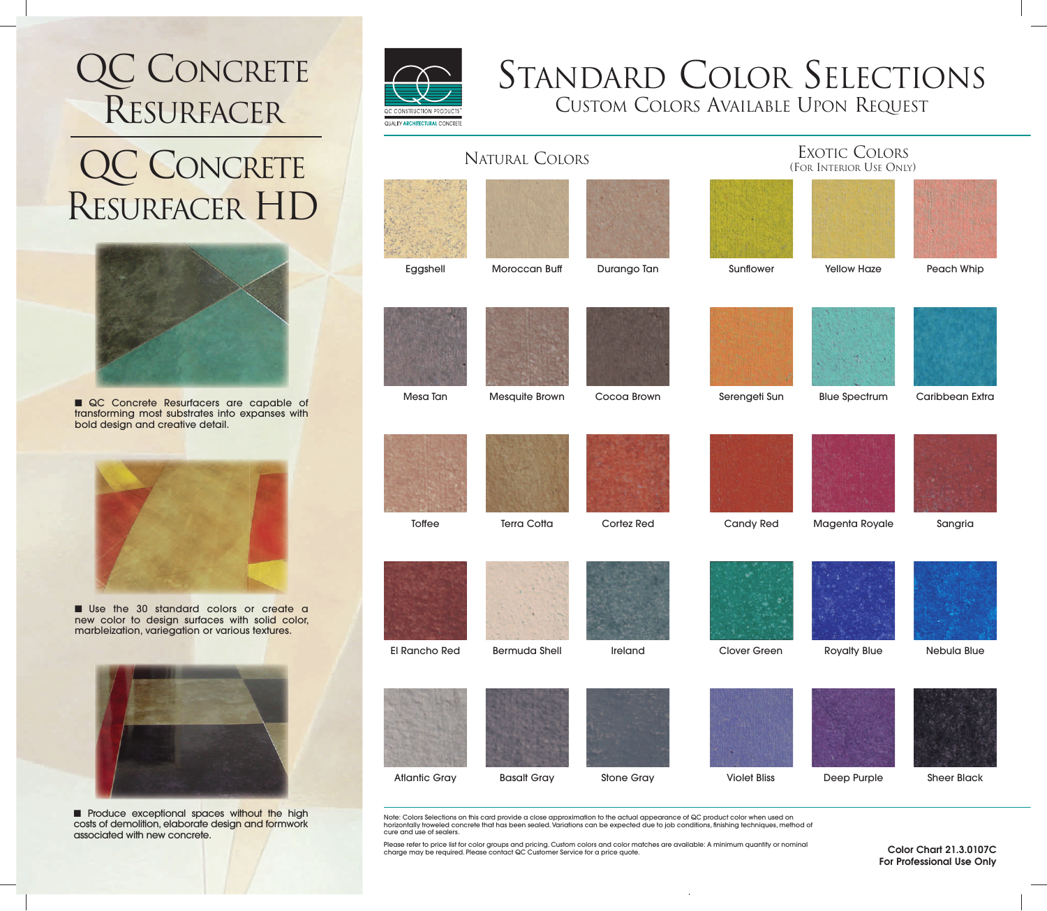## QC CONCRETE RESURFACER

### QC CONCRETE RESURFACER HD



■ QC Concrete Resurfacers are capable of transforming most substrates into expanses with bold design and creative detail.



■ Use the 30 standard colors or create a new color to design surfaces with solid color, marbleization, variegation or various textures.



■ Produce exceptional spaces without the high costs of demolition, elaborate design and formwork associated with new concrete.



# STANDARD COLOR SELECTIONS

CUSTOM COLORS AVAILABLE UPON REQUEST

| <b><i>GUALITY ARCHITECTURAL CONCRETE</i></b> |                      |                   |                                          |                      |                    |
|----------------------------------------------|----------------------|-------------------|------------------------------------------|----------------------|--------------------|
| <b>NATURAL COLORS</b>                        |                      |                   | EXOTIC COLORS<br>(FOR INTERIOR USE ONLY) |                      |                    |
|                                              |                      |                   |                                          |                      |                    |
| Eggshell                                     | Moroccan Buff        | Durango Tan       | Sunflower                                | <b>Yellow Haze</b>   | Peach Whip         |
|                                              |                      |                   |                                          |                      |                    |
| Mesa Tan                                     | Mesquite Brown       | Cocoa Brown       | Serengeti Sun                            | <b>Blue Spectrum</b> | Caribbean Extra    |
| Toffee                                       | <b>Terra Cotta</b>   | Cortez Red        | Candy Red                                | Magenta Royale       | Sangria            |
|                                              |                      |                   |                                          |                      |                    |
| El Rancho Red                                | <b>Bermuda Shell</b> | Ireland           | Clover Green                             | <b>Royalty Blue</b>  | Nebula Blue        |
| <b>Atlantic Gray</b>                         | <b>Basalt Gray</b>   | <b>Stone Gray</b> | <b>Violet Bliss</b>                      | Deep Purple          | <b>Sheer Black</b> |

Note: Colors Selections on this card provide a close approximation to the actual appearance of QC product color when used on horizontally troweled concrete that has been sealed. Variations can be expected due to job conditions, finishing techniques, method of cure and use of sealers.

Please refer to price list for color groups and pricing. Custom colors and color matches are available: A minimum quantity or nominal charge may be required. Please contact QC Customer Service for a price quote.

Color Chart 21.3.0107C For Professional Use Only